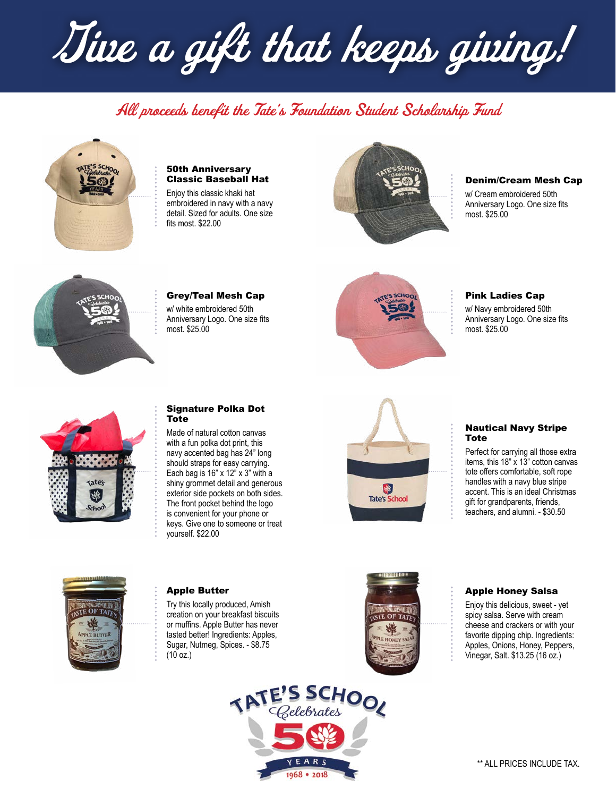Give a gift that keeps giving!

# All proceeds benefit the Tate's Foundation Student Scholarship Fund



#### 50th Anniversary Classic Baseball Hat

Enjoy this classic khaki hat embroidered in navy with a navy detail. Sized for adults. One size fits most. \$22.00



#### Denim/Cream Mesh Cap

w/ Cream embroidered 50th Anniversary Logo. One size fits most. \$25.00



# Grey/Teal Mesh Cap

w/ white embroidered 50th Anniversary Logo. One size fits most. \$25.00



# Pink Ladies Cap

w/ Navy embroidered 50th Anniversary Logo. One size fits most. \$25.00



# Signature Polka Dot Tote

Made of natural cotton canvas with a fun polka dot print, this navy accented bag has 24" long should straps for easy carrying. Each bag is  $16$ " x  $12$ " x  $3$ " with a shiny grommet detail and generous exterior side pockets on both sides. The front pocket behind the logo is convenient for your phone or keys. Give one to someone or treat yourself. \$22.00



#### Nautical Navy Stripe Tote

Perfect for carrying all those extra items, this 18" x 13" cotton canvas tote offers comfortable, soft rope handles with a navy blue stripe accent. This is an ideal Christmas gift for grandparents, friends, teachers, and alumni. - \$30.50



#### Apple Butter

Try this locally produced, Amish creation on your breakfast biscuits or muffins. Apple Butter has never tasted better! Ingredients: Apples, Sugar, Nutmeg, Spices. - \$8.75  $(10 oz.)$ 

TATE'S SCHOOL

EARS 1968 . 2018



# Apple Honey Salsa

Enjoy this delicious, sweet - yet spicy salsa. Serve with cream cheese and crackers or with your favorite dipping chip. Ingredients: Apples, Onions, Honey, Peppers, Vinegar, Salt. \$13.25 (16 oz.)